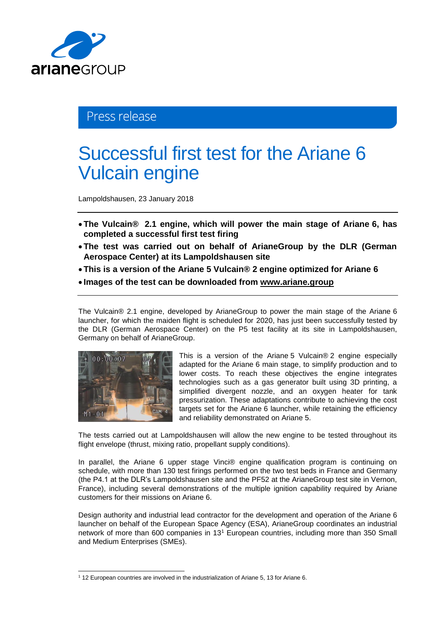

## Press release

## Successful first test for the Ariane 6 Vulcain engine

Lampoldshausen, 23 January 2018

- **The Vulcain® 2.1 engine, which will power the main stage of Ariane 6, has completed a successful first test firing**
- **The test was carried out on behalf of ArianeGroup by the DLR (German Aerospace Center) at its Lampoldshausen site**
- **This is a version of the Ariane 5 Vulcain® 2 engine optimized for Ariane 6**
- **Images of the test can be downloaded from [www.ariane.group](http://www.ariane.group/)**

The Vulcain® 2.1 engine, developed by ArianeGroup to power the main stage of the Ariane 6 launcher, for which the maiden flight is scheduled for 2020, has just been successfully tested by the DLR (German Aerospace Center) on the P5 test facility at its site in Lampoldshausen, Germany on behalf of ArianeGroup.



l

This is a version of the Ariane 5 Vulcain® 2 engine especially adapted for the Ariane 6 main stage, to simplify production and to lower costs. To reach these objectives the engine integrates technologies such as a gas generator built using 3D printing, a simplified divergent nozzle, and an oxygen heater for tank pressurization. These adaptations contribute to achieving the cost targets set for the Ariane 6 launcher, while retaining the efficiency and reliability demonstrated on Ariane 5.

The tests carried out at Lampoldshausen will allow the new engine to be tested throughout its flight envelope (thrust, mixing ratio, propellant supply conditions).

In parallel, the Ariane 6 upper stage Vinci® engine qualification program is continuing on schedule, with more than 130 test firings performed on the two test beds in France and Germany (the P4.1 at the DLR's Lampoldshausen site and the PF52 at the ArianeGroup test site in Vernon, France), including several demonstrations of the multiple ignition capability required by Ariane customers for their missions on Ariane 6.

Design authority and industrial lead contractor for the development and operation of the Ariane 6 launcher on behalf of the European Space Agency (ESA), ArianeGroup coordinates an industrial network of more than 600 companies in 13<sup>1</sup> European countries, including more than 350 Small and Medium Enterprises (SMEs).

<sup>1</sup> 12 European countries are involved in the industrialization of Ariane 5, 13 for Ariane 6.